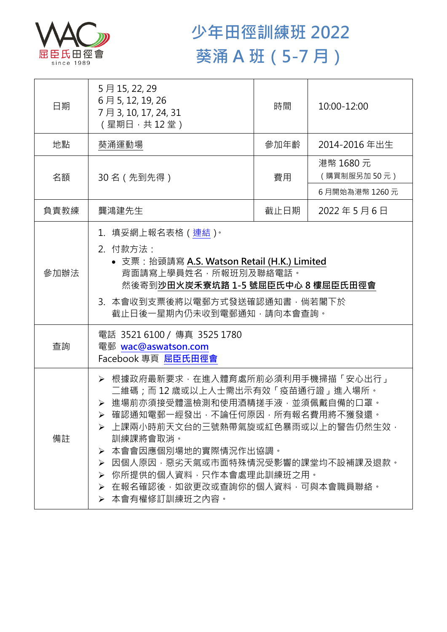

## **少年田徑訓練班 2022 葵涌 A 班(5-7 月)**

| 日期   | 5月15, 22, 29<br>6月5, 12, 19, 26<br>7月3, 10, 17, 24, 31<br>(星期日,共12堂)                                                                                                                                                                                                                                                                                      | 時間   | 10:00-12:00             |  |
|------|-----------------------------------------------------------------------------------------------------------------------------------------------------------------------------------------------------------------------------------------------------------------------------------------------------------------------------------------------------------|------|-------------------------|--|
| 地點   | 葵涌運動場                                                                                                                                                                                                                                                                                                                                                     | 參加年齡 | 2014-2016年出生            |  |
| 名額   | 30 名 (先到先得)                                                                                                                                                                                                                                                                                                                                               | 費用   | 港幣 1680元<br>(購買制服另加50元) |  |
|      |                                                                                                                                                                                                                                                                                                                                                           |      | 6月開始為港幣 1260元           |  |
| 負責教練 | 龔鴻建先生                                                                                                                                                                                                                                                                                                                                                     | 截止日期 | 2022年5月6日               |  |
| 參加辦法 | 1. 填妥網上報名表格(連結) <sup>。</sup><br>2. 付款方法:<br>• 支票: 抬頭請寫 A.S. Watson Retail (H.K.) Limited<br>背面請寫上學員姓名,所報班別及聯絡電話。<br>然後寄到沙田火炭禾寮坑路 1-5 號屈臣氏中心 8 樓屈臣氏田徑會<br>3. 本會收到支票後將以電郵方式發送確認通知書,倘若閣下於<br>截止日後一星期內仍未收到電郵通知,請向本會查詢。                                                                                                                                        |      |                         |  |
| 查詢   | 電話 3521 6100 / 傳真 3525 1780<br>電郵 wac@aswatson.com<br>Facebook 專頁 屈臣氏田徑會                                                                                                                                                                                                                                                                                  |      |                         |  |
| 備註   | · 根據政府最新要求·在進入體育處所前必須利用手機掃描「安心出行」<br>二維碼﹔而 12 歲或以上人士需出示有效「疫苗通行證」進入場所。<br>> 進場前亦須接受體溫檢測和使用酒精搓手液·並須佩戴自備的口罩。<br>確認通知電郵一經發出,不論任何原因,所有報名費用將不獲發還。<br>▶ 上課兩小時前天文台的三號熱帶氣旋或紅色暴雨或以上的警告仍然生效,<br>訓練課將會取消。<br>本會會因應個別場地的實際情況作出協調。<br>➤<br>因個人原因,惡劣天氣或市面特殊情況受影響的課堂均不設補課及退款。<br>➤<br>你所提供的個人資料,只作本會處理此訓練班之用。<br>➤<br>➢ 在報名確認後,如欲更改或查詢你的個人資料,可與本會職員聯絡。<br>▶ 本會有權修訂訓練班之內容。 |      |                         |  |